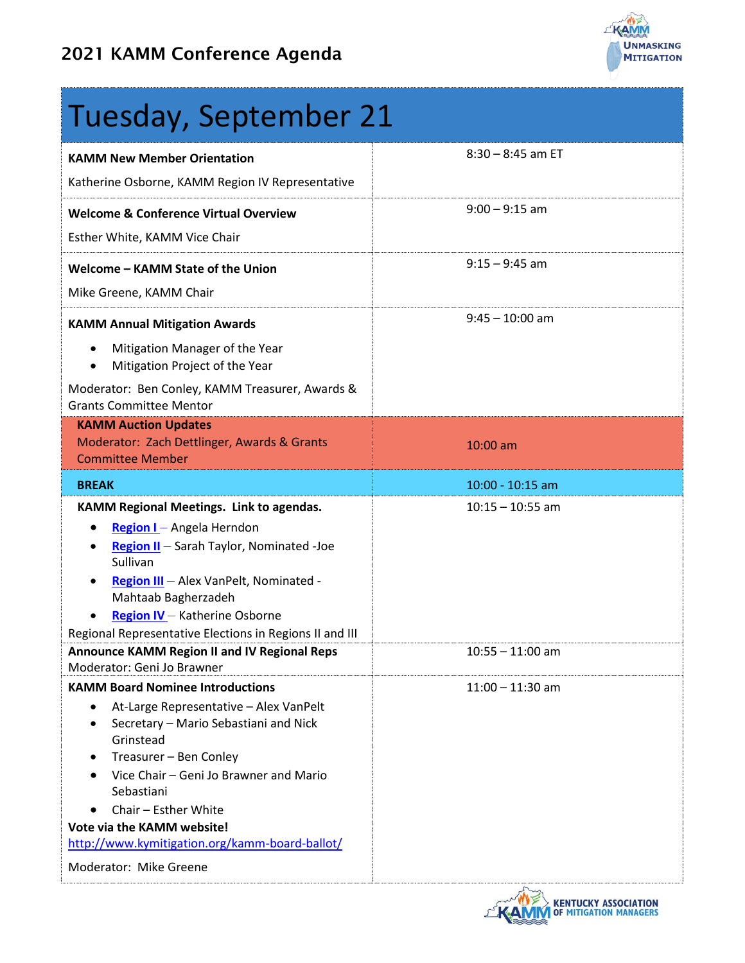

# Tuesday, September 21

| <b>KAMM New Member Orientation</b>                                                         | $8:30 - 8:45$ am ET |
|--------------------------------------------------------------------------------------------|---------------------|
| Katherine Osborne, KAMM Region IV Representative                                           |                     |
| <b>Welcome &amp; Conference Virtual Overview</b>                                           | $9:00 - 9:15$ am    |
| Esther White, KAMM Vice Chair                                                              |                     |
| Welcome - KAMM State of the Union                                                          | $9:15 - 9:45$ am    |
| Mike Greene, KAMM Chair                                                                    |                     |
| <b>KAMM Annual Mitigation Awards</b>                                                       | $9:45 - 10:00$ am   |
| Mitigation Manager of the Year<br>$\bullet$<br>Mitigation Project of the Year<br>$\bullet$ |                     |
| Moderator: Ben Conley, KAMM Treasurer, Awards &<br><b>Grants Committee Mentor</b>          |                     |
| <b>KAMM Auction Updates</b>                                                                |                     |
| Moderator: Zach Dettlinger, Awards & Grants                                                | $10:00$ am          |
| <b>Committee Member</b>                                                                    |                     |
| <b>BREAK</b>                                                                               | $10:00 - 10:15$ am  |
| KAMM Regional Meetings. Link to agendas.                                                   | $10:15 - 10:55$ am  |
| Region I - Angela Herndon<br>٠                                                             |                     |
| Region II - Sarah Taylor, Nominated -Joe<br>Sullivan                                       |                     |
| Region III - Alex VanPelt, Nominated -                                                     |                     |
| Mahtaab Bagherzadeh                                                                        |                     |
| Region IV - Katherine Osborne<br>$\bullet$                                                 |                     |
| Regional Representative Elections in Regions II and III                                    |                     |
| <b>Announce KAMM Region II and IV Regional Reps</b><br>Moderator: Geni Jo Brawner          | $10:55 - 11:00$ am  |
| <b>KAMM Board Nominee Introductions</b>                                                    | $11:00 - 11:30$ am  |
| At-Large Representative - Alex VanPelt                                                     |                     |
| Secretary - Mario Sebastiani and Nick<br>Grinstead                                         |                     |
| Treasurer - Ben Conley                                                                     |                     |
| Vice Chair - Geni Jo Brawner and Mario<br>Sebastiani                                       |                     |
| Chair - Esther White                                                                       |                     |
| Vote via the KAMM website!                                                                 |                     |
| http://www.kymitigation.org/kamm-board-ballot/                                             |                     |
| Moderator: Mike Greene                                                                     |                     |
|                                                                                            | KENTUCKY ASSOC      |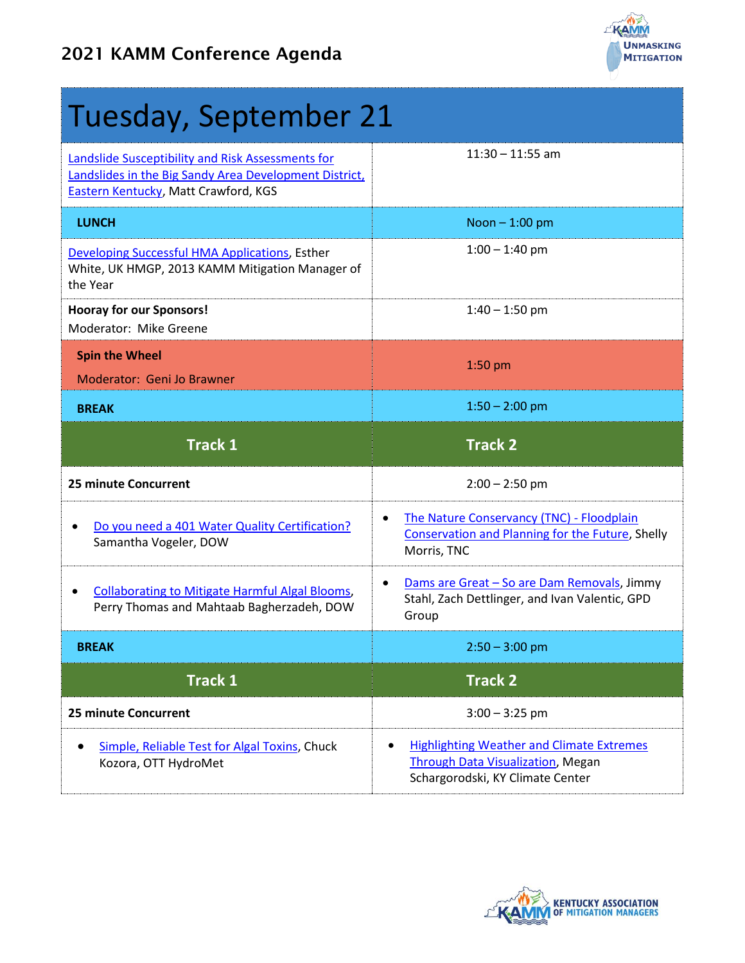

| Tuesday, September 21                                                                                                                               |                                                                                                                     |
|-----------------------------------------------------------------------------------------------------------------------------------------------------|---------------------------------------------------------------------------------------------------------------------|
| Landslide Susceptibility and Risk Assessments for<br>Landslides in the Big Sandy Area Development District,<br>Eastern Kentucky, Matt Crawford, KGS | $11:30 - 11:55$ am                                                                                                  |
| <b>LUNCH</b>                                                                                                                                        | Noon $-1:00$ pm                                                                                                     |
| Developing Successful HMA Applications, Esther<br>White, UK HMGP, 2013 KAMM Mitigation Manager of<br>the Year                                       | $1:00 - 1:40$ pm                                                                                                    |
| <b>Hooray for our Sponsors!</b><br>Moderator: Mike Greene                                                                                           | $1:40 - 1:50$ pm                                                                                                    |
| <b>Spin the Wheel</b><br>Moderator: Geni Jo Brawner                                                                                                 | $1:50$ pm                                                                                                           |
| <b>BREAK</b>                                                                                                                                        | $1:50 - 2:00$ pm                                                                                                    |
| <b>Track 1</b>                                                                                                                                      | <b>Track 2</b>                                                                                                      |
| <b>25 minute Concurrent</b>                                                                                                                         | $2:00 - 2:50$ pm                                                                                                    |
| Do you need a 401 Water Quality Certification?<br>Samantha Vogeler, DOW                                                                             | The Nature Conservancy (TNC) - Floodplain<br><b>Conservation and Planning for the Future, Shelly</b><br>Morris, TNC |
|                                                                                                                                                     |                                                                                                                     |
| <b>Collaborating to Mitigate Harmful Algal Blooms,</b><br>Perry Thomas and Mahtaab Bagherzadeh, DOW                                                 | Dams are Great - So are Dam Removals, Jimmy<br>Stahl, Zach Dettlinger, and Ivan Valentic, GPD<br>Group              |
| <b>BREAK</b>                                                                                                                                        | $2:50 - 3:00$ pm                                                                                                    |
| <b>Track 1</b>                                                                                                                                      | <b>Track 2</b>                                                                                                      |
| <b>25 minute Concurrent</b>                                                                                                                         | $3:00 - 3:25$ pm                                                                                                    |

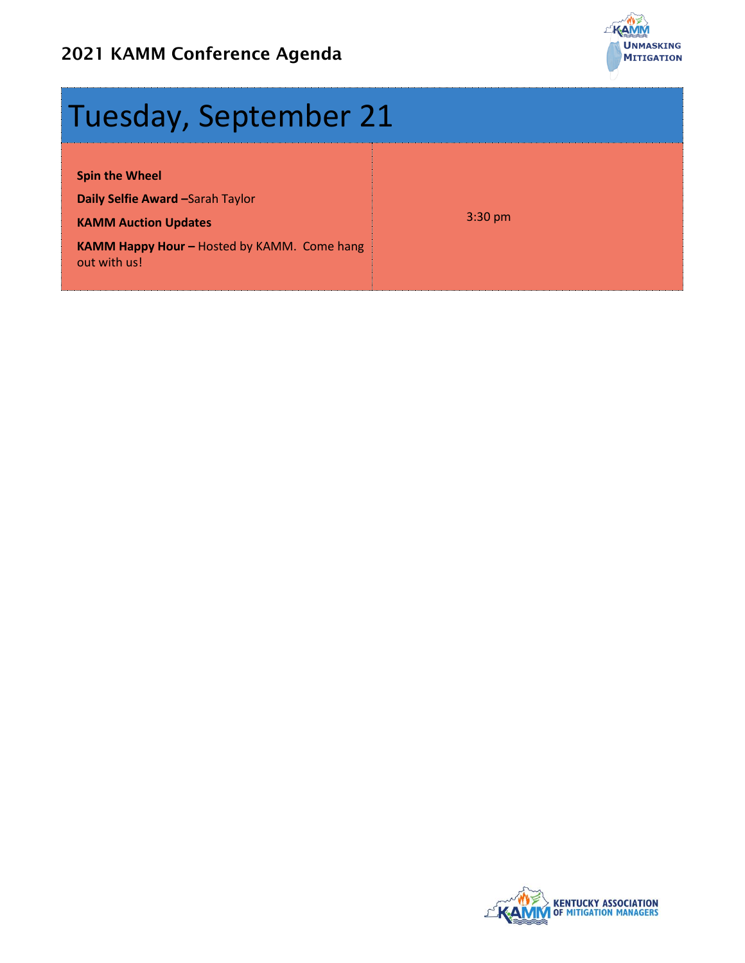

## Tuesday, September 21

**Spin the Wheel**

**Daily Selfie Award –**Sarah Taylor

**KAMM Auction Updates** 

3:30 pm

**KAMM Happy Hour - Hosted by KAMM. Come hang** out with us!

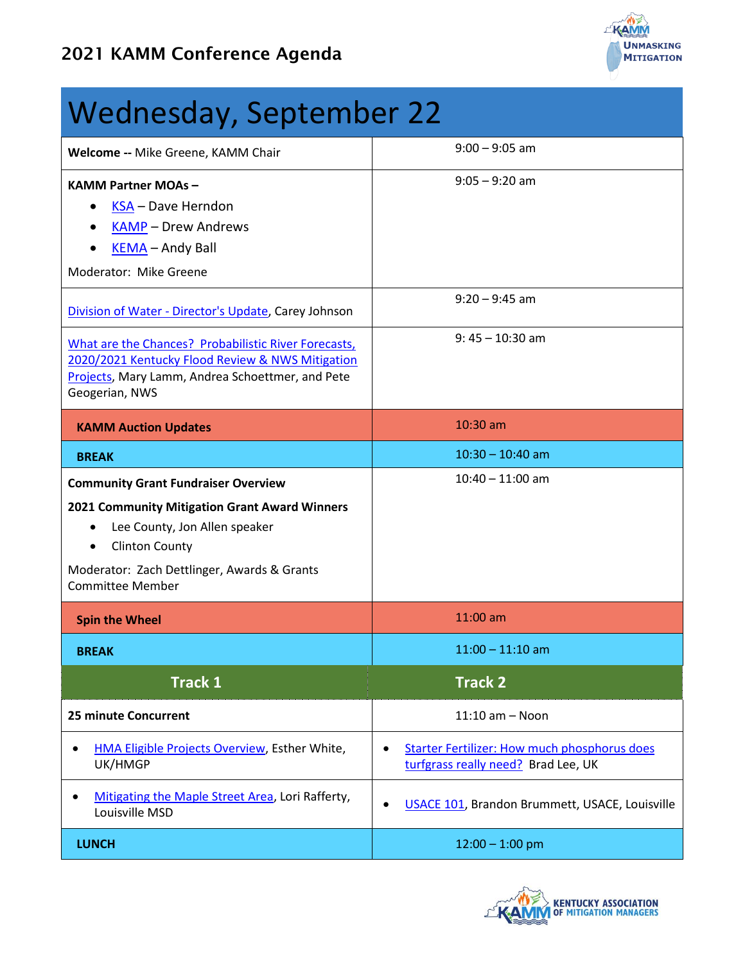

#### Wednesday, September 22 **Welcome --** Mike Greene, KAMM Chair **9:00 – 9:05 am KAMM Partner MOAs –** • [KSA](https://ksa.memberclicks.net/) – Dave Herndon • [KAMP](http://kampro.org/) – Drew Andrews • [KEMA](https://kyema.org/) – Andy Ball Moderator: Mike Greene 9:05 – 9:20 am [Division of Water -](http://www.kymitigation.org/wp-content/uploads/2021/08/2021-KAMM-Virtual-Conference-Carey-Johnson.pdf) Director's Update, Carey Johnson 9:20 – 9:45 am [What are the Chances? Probabilistic River Forecasts,](http://www.kymitigation.org/wp-content/uploads/2021/08/2021-KAMM-Virtual-Conference-Mary-Lamm-Pete-Geogerian-and-Andrea-Schoettmer.pdf)  [2020/2021 Kentucky Flood Review & NWS Mitigation](http://www.kymitigation.org/wp-content/uploads/2021/08/2021-KAMM-Virtual-Conference-Mary-Lamm-Pete-Geogerian-and-Andrea-Schoettmer.pdf)  [Projects,](http://www.kymitigation.org/wp-content/uploads/2021/08/2021-KAMM-Virtual-Conference-Mary-Lamm-Pete-Geogerian-and-Andrea-Schoettmer.pdf) Mary Lamm, Andrea Schoettmer, and Pete Geogerian, NWS 9: 45 – 10:30 am **KAMM Auction Updates 10:30 am BREAK** 10:30 – 10:40 am **Community Grant Fundraiser Overview 2021 Community Mitigation Grant Award Winners** • Lee County, Jon Allen speaker • Clinton County Moderator: Zach Dettlinger, Awards & Grants Committee Member 10:40 – 11:00 am **Spin the Wheel 200 am and 200 am and 200 am and 200 am and 200 am BREAK** 11:00 – 11:10 am **Track 1 Track 2 25 minute Concurrent** 11:10 am – Noon • [HMA Eligible Projects Overview,](http://www.kymitigation.org/wp-content/uploads/2021/08/2021-KAMM-Virtual-Conference-Projects-Overview-Esther-White.pdf) Esther White, UK/HMGP • [Starter Fertilizer: How much phosphorus does](http://www.kymitigation.org/wp-content/uploads/2021/08/2021-KAMM-Virtual-Conference-Brad-Lee.pdf)  [turfgrass really need?](http://www.kymitigation.org/wp-content/uploads/2021/08/2021-KAMM-Virtual-Conference-Brad-Lee.pdf) Brad Lee, UK • [Mitigating the Maple Street Area,](http://www.kymitigation.org/wp-content/uploads/2021/08/2021-KAMM-Virtual-Conference-Lori-Rafferty.pdf) Lori Rafferty, **EXAMPLE MADE SECUPATED, LOTTMATETY, CONSIDER 101, Brandon Brummett, USACE, Louisville**<br>Louisville MSD **LUNCH** 12:00 – 1:00 pm

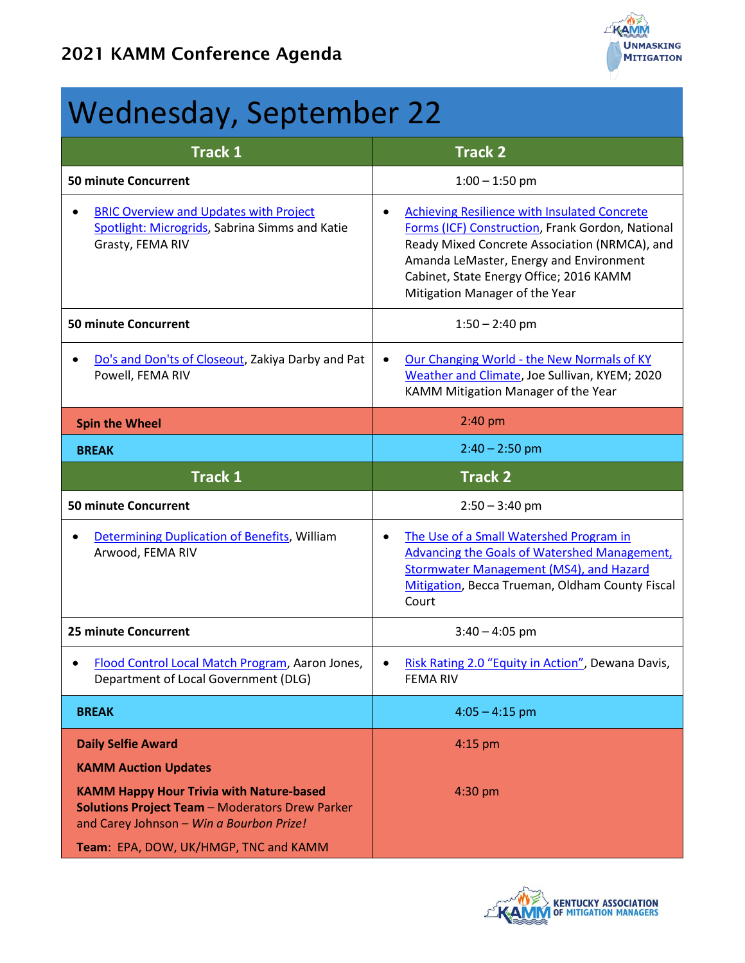

## Wednesday, September 22

| <b>Track 1</b>                                                                                                                                                                                                    | <b>Track 2</b>                                                                                                                                                                                                                                                                                |
|-------------------------------------------------------------------------------------------------------------------------------------------------------------------------------------------------------------------|-----------------------------------------------------------------------------------------------------------------------------------------------------------------------------------------------------------------------------------------------------------------------------------------------|
| <b>50 minute Concurrent</b>                                                                                                                                                                                       | $1:00 - 1:50$ pm                                                                                                                                                                                                                                                                              |
| <b>BRIC Overview and Updates with Project</b><br>$\bullet$<br>Spotlight: Microgrids, Sabrina Simms and Katie<br>Grasty, FEMA RIV                                                                                  | <b>Achieving Resilience with Insulated Concrete</b><br>$\bullet$<br>Forms (ICF) Construction, Frank Gordon, National<br>Ready Mixed Concrete Association (NRMCA), and<br>Amanda LeMaster, Energy and Environment<br>Cabinet, State Energy Office; 2016 KAMM<br>Mitigation Manager of the Year |
| <b>50 minute Concurrent</b>                                                                                                                                                                                       | $1:50 - 2:40$ pm                                                                                                                                                                                                                                                                              |
| Do's and Don'ts of Closeout, Zakiya Darby and Pat<br>$\bullet$<br>Powell, FEMA RIV                                                                                                                                | Our Changing World - the New Normals of KY<br>$\bullet$<br>Weather and Climate, Joe Sullivan, KYEM; 2020<br>KAMM Mitigation Manager of the Year                                                                                                                                               |
| <b>Spin the Wheel</b>                                                                                                                                                                                             | 2:40 pm                                                                                                                                                                                                                                                                                       |
| <b>BREAK</b>                                                                                                                                                                                                      | $2:40 - 2:50$ pm                                                                                                                                                                                                                                                                              |
| <b>Track 1</b>                                                                                                                                                                                                    | <b>Track 2</b>                                                                                                                                                                                                                                                                                |
| <b>50 minute Concurrent</b>                                                                                                                                                                                       | $2:50 - 3:40$ pm                                                                                                                                                                                                                                                                              |
|                                                                                                                                                                                                                   |                                                                                                                                                                                                                                                                                               |
| Determining Duplication of Benefits, William<br>Arwood, FEMA RIV                                                                                                                                                  | The Use of a Small Watershed Program in<br>$\bullet$<br>Advancing the Goals of Watershed Management,<br><b>Stormwater Management (MS4), and Hazard</b><br>Mitigation, Becca Trueman, Oldham County Fiscal<br>Court                                                                            |
| <b>25 minute Concurrent</b>                                                                                                                                                                                       | $3:40 - 4:05$ pm                                                                                                                                                                                                                                                                              |
| Flood Control Local Match Program, Aaron Jones,<br>$\bullet$<br>Department of Local Government (DLG)                                                                                                              | Risk Rating 2.0 "Equity in Action", Dewana Davis,<br>$\bullet$<br>FEMA RIV                                                                                                                                                                                                                    |
| <b>BREAK</b>                                                                                                                                                                                                      | $4:05 - 4:15$ pm                                                                                                                                                                                                                                                                              |
| <b>Daily Selfie Award</b><br><b>KAMM Auction Updates</b><br><b>KAMM Happy Hour Trivia with Nature-based</b><br><b>Solutions Project Team - Moderators Drew Parker</b><br>and Carey Johnson - Win a Bourbon Prize! | $4:15$ pm<br>4:30 pm                                                                                                                                                                                                                                                                          |

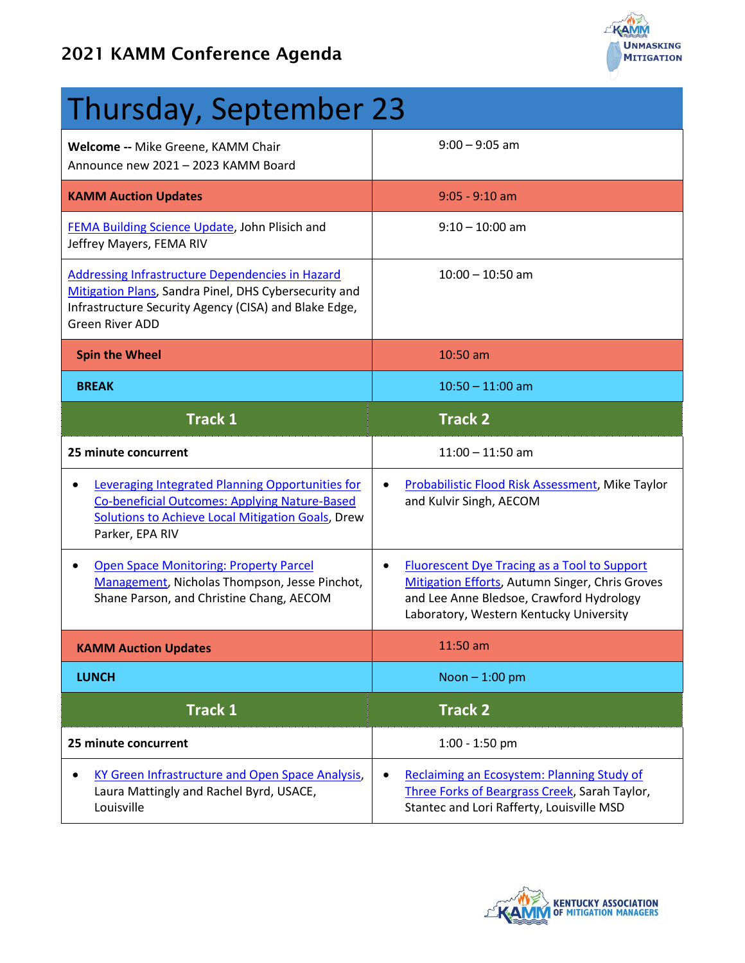

| Thursday, September 23                                                                                                                                                                       |                                                                                                                                                                                                            |
|----------------------------------------------------------------------------------------------------------------------------------------------------------------------------------------------|------------------------------------------------------------------------------------------------------------------------------------------------------------------------------------------------------------|
| Welcome -- Mike Greene, KAMM Chair<br>Announce new 2021 - 2023 KAMM Board                                                                                                                    | $9:00 - 9:05$ am                                                                                                                                                                                           |
| <b>KAMM Auction Updates</b>                                                                                                                                                                  | $9:05 - 9:10$ am                                                                                                                                                                                           |
| FEMA Building Science Update, John Plisich and<br>Jeffrey Mayers, FEMA RIV                                                                                                                   | $9:10 - 10:00$ am                                                                                                                                                                                          |
| Addressing Infrastructure Dependencies in Hazard<br>Mitigation Plans, Sandra Pinel, DHS Cybersecurity and<br>Infrastructure Security Agency (CISA) and Blake Edge,<br><b>Green River ADD</b> | $10:00 - 10:50$ am                                                                                                                                                                                         |
| <b>Spin the Wheel</b>                                                                                                                                                                        | 10:50 am                                                                                                                                                                                                   |
| <b>BREAK</b>                                                                                                                                                                                 | $10:50 - 11:00$ am                                                                                                                                                                                         |
| <b>Track 1</b>                                                                                                                                                                               | <b>Track 2</b>                                                                                                                                                                                             |
| 25 minute concurrent                                                                                                                                                                         | $11:00 - 11:50$ am                                                                                                                                                                                         |
| Leveraging Integrated Planning Opportunities for<br><b>Co-beneficial Outcomes: Applying Nature-Based</b><br><b>Solutions to Achieve Local Mitigation Goals, Drew</b><br>Parker, EPA RIV      | Probabilistic Flood Risk Assessment, Mike Taylor<br>and Kulvir Singh, AECOM                                                                                                                                |
| <b>Open Space Monitoring: Property Parcel</b><br>Management, Nicholas Thompson, Jesse Pinchot,<br>Shane Parson, and Christine Chang, AECOM                                                   | <b>Fluorescent Dye Tracing as a Tool to Support</b><br>$\bullet$<br>Mitigation Efforts, Autumn Singer, Chris Groves<br>and Lee Anne Bledsoe, Crawford Hydrology<br>Laboratory, Western Kentucky University |
| <b>KAMM Auction Updates</b>                                                                                                                                                                  | 11:50 am                                                                                                                                                                                                   |
| <b>LUNCH</b>                                                                                                                                                                                 | Noon $-1:00$ pm                                                                                                                                                                                            |
| <b>Track 1</b>                                                                                                                                                                               | <b>Track 2</b>                                                                                                                                                                                             |
| 25 minute concurrent                                                                                                                                                                         | $1:00 - 1:50$ pm                                                                                                                                                                                           |
| KY Green Infrastructure and Open Space Analysis,<br>Laura Mattingly and Rachel Byrd, USACE,<br>Louisville                                                                                    | Reclaiming an Ecosystem: Planning Study of<br>Three Forks of Beargrass Creek, Sarah Taylor,<br>Stantec and Lori Rafferty, Louisville MSD                                                                   |